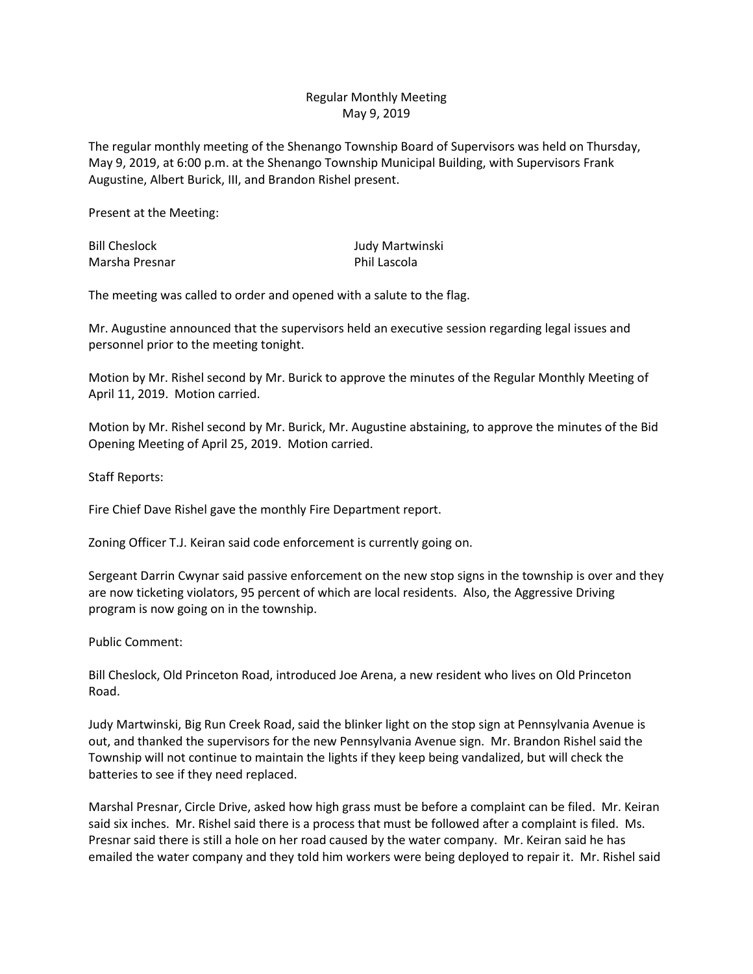## Regular Monthly Meeting May 9, 2019

The regular monthly meeting of the Shenango Township Board of Supervisors was held on Thursday, May 9, 2019, at 6:00 p.m. at the Shenango Township Municipal Building, with Supervisors Frank Augustine, Albert Burick, III, and Brandon Rishel present.

Present at the Meeting:

Bill Cheslock Judy Martwinski Marsha Presnar **Phil Lascola** 

The meeting was called to order and opened with a salute to the flag.

Mr. Augustine announced that the supervisors held an executive session regarding legal issues and personnel prior to the meeting tonight.

Motion by Mr. Rishel second by Mr. Burick to approve the minutes of the Regular Monthly Meeting of April 11, 2019. Motion carried.

Motion by Mr. Rishel second by Mr. Burick, Mr. Augustine abstaining, to approve the minutes of the Bid Opening Meeting of April 25, 2019. Motion carried.

Staff Reports:

Fire Chief Dave Rishel gave the monthly Fire Department report.

Zoning Officer T.J. Keiran said code enforcement is currently going on.

Sergeant Darrin Cwynar said passive enforcement on the new stop signs in the township is over and they are now ticketing violators, 95 percent of which are local residents. Also, the Aggressive Driving program is now going on in the township.

Public Comment:

Bill Cheslock, Old Princeton Road, introduced Joe Arena, a new resident who lives on Old Princeton Road.

Judy Martwinski, Big Run Creek Road, said the blinker light on the stop sign at Pennsylvania Avenue is out, and thanked the supervisors for the new Pennsylvania Avenue sign. Mr. Brandon Rishel said the Township will not continue to maintain the lights if they keep being vandalized, but will check the batteries to see if they need replaced.

Marshal Presnar, Circle Drive, asked how high grass must be before a complaint can be filed. Mr. Keiran said six inches. Mr. Rishel said there is a process that must be followed after a complaint is filed. Ms. Presnar said there is still a hole on her road caused by the water company. Mr. Keiran said he has emailed the water company and they told him workers were being deployed to repair it. Mr. Rishel said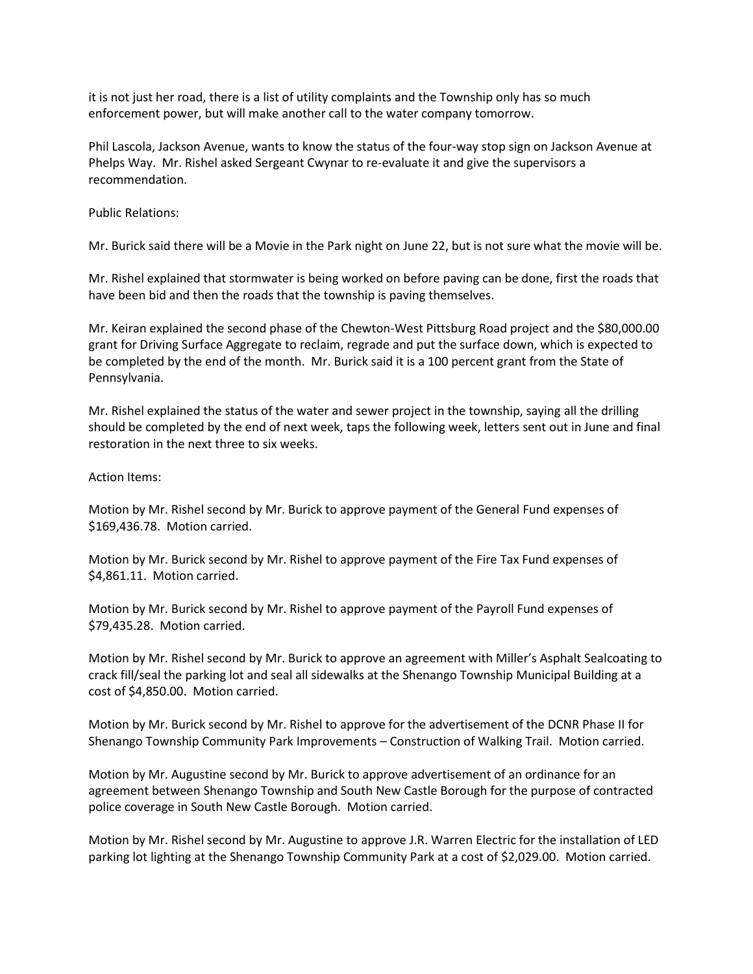it is not just her road, there is a list of utility complaints and the Township only has so much enforcement power, but will make another call to the water company tomorrow.

Phil Lascola, Jackson Avenue, wants to know the status of the four-way stop sign on Jackson Avenue at Phelps Way. Mr. Rishel asked Sergeant Cwynar to re-evaluate it and give the supervisors a recommendation.

Public Relations:

Mr. Burick said there will be a Movie in the Park night on June 22, but is not sure what the movie will be.

Mr. Rishel explained that stormwater is being worked on before paving can be done, first the roads that have been bid and then the roads that the township is paving themselves.

Mr. Keiran explained the second phase of the Chewton-West Pittsburg Road project and the \$80,000.00 grant for Driving Surface Aggregate to reclaim, regrade and put the surface down, which is expected to be completed by the end of the month. Mr. Burick said it is a 100 percent grant from the State of Pennsylvania.

Mr. Rishel explained the status of the water and sewer project in the township, saying all the drilling should be completed by the end of next week, taps the following week, letters sent out in June and final restoration in the next three to six weeks.

## Action Items:

Motion by Mr. Rishel second by Mr. Burick to approve payment of the General Fund expenses of \$169,436.78. Motion carried.

Motion by Mr. Burick second by Mr. Rishel to approve payment of the Fire Tax Fund expenses of \$4,861.11. Motion carried.

Motion by Mr. Burick second by Mr. Rishel to approve payment of the Payroll Fund expenses of \$79,435.28. Motion carried.

Motion by Mr. Rishel second by Mr. Burick to approve an agreement with Miller's Asphalt Sealcoating to crack fill/seal the parking lot and seal all sidewalks at the Shenango Township Municipal Building at a cost of \$4,850.00. Motion carried.

Motion by Mr. Burick second by Mr. Rishel to approve for the advertisement of the DCNR Phase II for Shenango Township Community Park Improvements – Construction of Walking Trail. Motion carried.

Motion by Mr. Augustine second by Mr. Burick to approve advertisement of an ordinance for an agreement between Shenango Township and South New Castle Borough for the purpose of contracted police coverage in South New Castle Borough. Motion carried.

Motion by Mr. Rishel second by Mr. Augustine to approve J.R. Warren Electric for the installation of LED parking lot lighting at the Shenango Township Community Park at a cost of \$2,029.00. Motion carried.